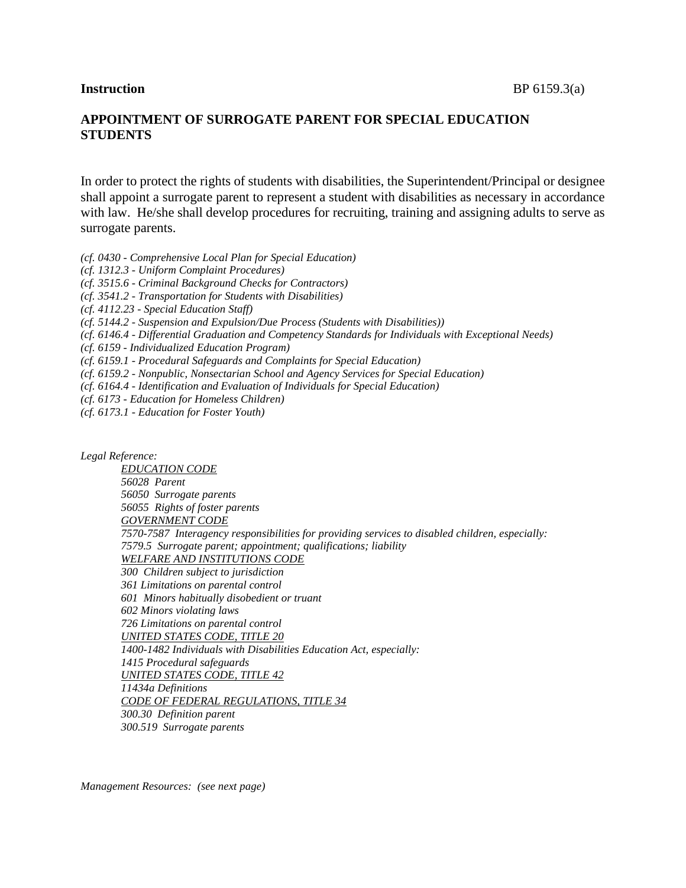# **APPOINTMENT OF SURROGATE PARENT FOR SPECIAL EDUCATION STUDENTS**

In order to protect the rights of students with disabilities, the Superintendent/Principal or designee shall appoint a surrogate parent to represent a student with disabilities as necessary in accordance with law. He/she shall develop procedures for recruiting, training and assigning adults to serve as surrogate parents.

*(cf. 0430 - Comprehensive Local Plan for Special Education)*

*(cf. 1312.3 - Uniform Complaint Procedures)*

*(cf. 3515.6 - Criminal Background Checks for Contractors)*

*(cf. 3541.2 - Transportation for Students with Disabilities)*

*(cf. 4112.23 - Special Education Staff)*

*(cf. 5144.2 - Suspension and Expulsion/Due Process (Students with Disabilities))*

*(cf. 6146.4 - Differential Graduation and Competency Standards for Individuals with Exceptional Needs)*

*(cf. 6159 - Individualized Education Program)*

*(cf. 6159.1 - Procedural Safeguards and Complaints for Special Education)*

*(cf. 6159.2 - Nonpublic, Nonsectarian School and Agency Services for Special Education)*

*(cf. 6164.4 - Identification and Evaluation of Individuals for Special Education)*

*(cf. 6173 - Education for Homeless Children)*

*(cf. 6173.1 - Education for Foster Youth)*

*Legal Reference: EDUCATION CODE 56028 Parent 56050 Surrogate parents 56055 Rights of foster parents GOVERNMENT CODE 7570-7587 Interagency responsibilities for providing services to disabled children, especially: 7579.5 Surrogate parent; appointment; qualifications; liability WELFARE AND INSTITUTIONS CODE 300 Children subject to jurisdiction 361 Limitations on parental control 601 Minors habitually disobedient or truant 602 Minors violating laws 726 Limitations on parental control UNITED STATES CODE, TITLE 20 1400-1482 Individuals with Disabilities Education Act, especially: 1415 Procedural safeguards UNITED STATES CODE, TITLE 42 11434a Definitions CODE OF FEDERAL REGULATIONS, TITLE 34 300.30 Definition parent 300.519 Surrogate parents*

*Management Resources: (see next page)*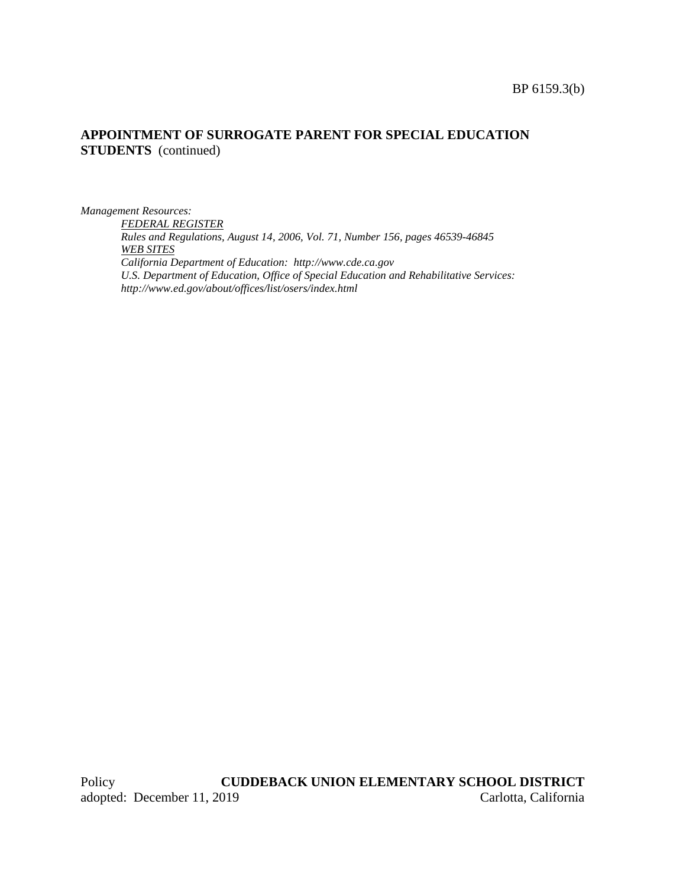## **APPOINTMENT OF SURROGATE PARENT FOR SPECIAL EDUCATION STUDENTS** (continued)

*Management Resources:*

*FEDERAL REGISTER Rules and Regulations, August 14, 2006, Vol. 71, Number 156, pages 46539-46845 WEB SITES California Department of Education: http://www.cde.ca.gov U.S. Department of Education, Office of Special Education and Rehabilitative Services: http://www.ed.gov/about/offices/list/osers/index.html*

Policy **CUDDEBACK UNION ELEMENTARY SCHOOL DISTRICT** adopted: December 11, 2019 Carlotta, California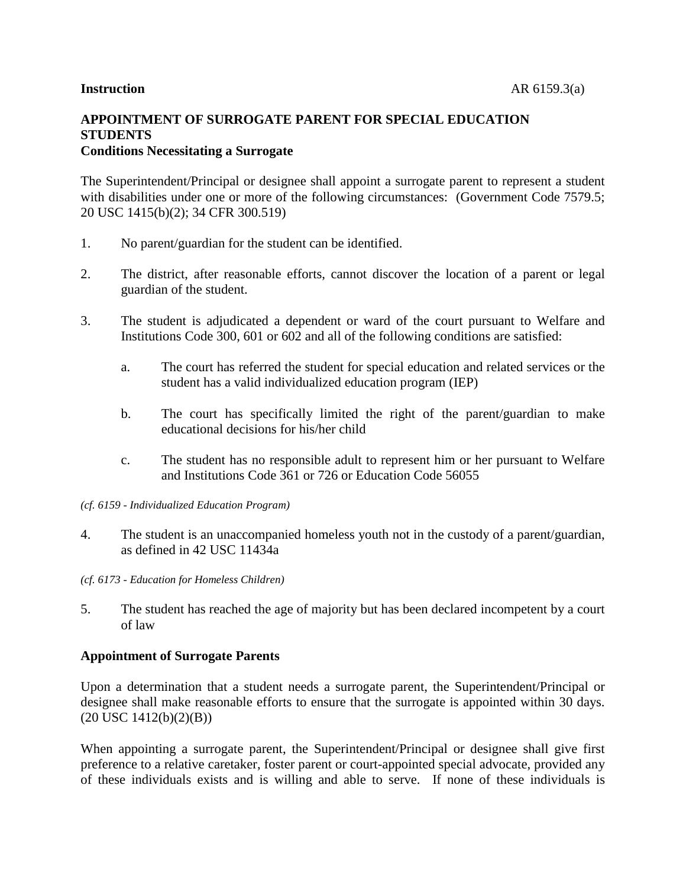# **APPOINTMENT OF SURROGATE PARENT FOR SPECIAL EDUCATION STUDENTS Conditions Necessitating a Surrogate**

The Superintendent/Principal or designee shall appoint a surrogate parent to represent a student with disabilities under one or more of the following circumstances: (Government Code 7579.5; 20 USC 1415(b)(2); 34 CFR 300.519)

- 1. No parent/guardian for the student can be identified.
- 2. The district, after reasonable efforts, cannot discover the location of a parent or legal guardian of the student.
- 3. The student is adjudicated a dependent or ward of the court pursuant to Welfare and Institutions Code 300, 601 or 602 and all of the following conditions are satisfied:
	- a. The court has referred the student for special education and related services or the student has a valid individualized education program (IEP)
	- b. The court has specifically limited the right of the parent/guardian to make educational decisions for his/her child
	- c. The student has no responsible adult to represent him or her pursuant to Welfare and Institutions Code 361 or 726 or Education Code 56055
- *(cf. 6159 - Individualized Education Program)*
- 4. The student is an unaccompanied homeless youth not in the custody of a parent/guardian, as defined in 42 USC 11434a
- *(cf. 6173 - Education for Homeless Children)*
- 5. The student has reached the age of majority but has been declared incompetent by a court of law

## **Appointment of Surrogate Parents**

Upon a determination that a student needs a surrogate parent, the Superintendent/Principal or designee shall make reasonable efforts to ensure that the surrogate is appointed within 30 days. (20 USC 1412(b)(2)(B))

When appointing a surrogate parent, the Superintendent/Principal or designee shall give first preference to a relative caretaker, foster parent or court-appointed special advocate, provided any of these individuals exists and is willing and able to serve. If none of these individuals is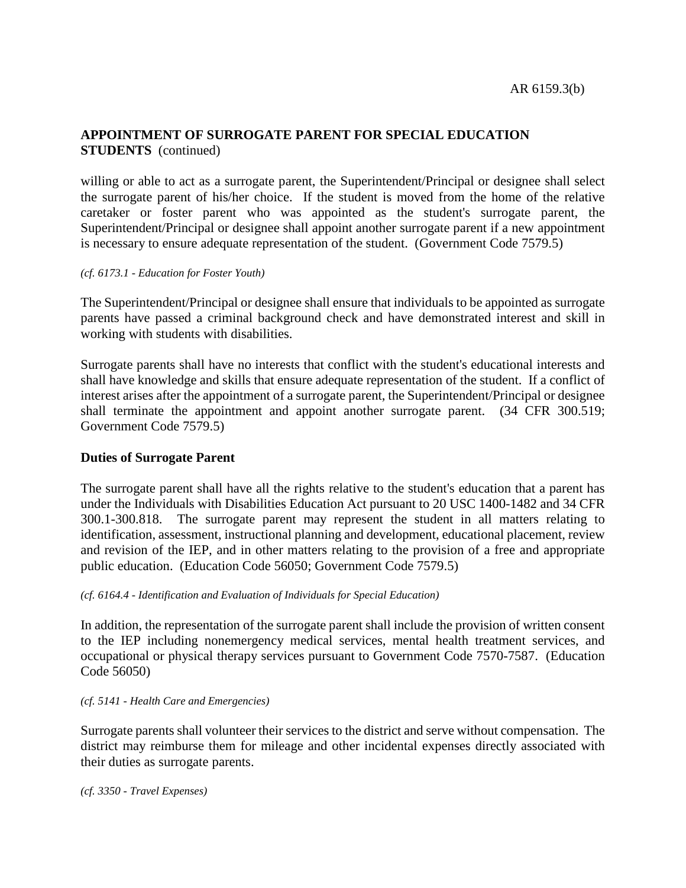# **APPOINTMENT OF SURROGATE PARENT FOR SPECIAL EDUCATION STUDENTS** (continued)

willing or able to act as a surrogate parent, the Superintendent/Principal or designee shall select the surrogate parent of his/her choice. If the student is moved from the home of the relative caretaker or foster parent who was appointed as the student's surrogate parent, the Superintendent/Principal or designee shall appoint another surrogate parent if a new appointment is necessary to ensure adequate representation of the student. (Government Code 7579.5)

### *(cf. 6173.1 - Education for Foster Youth)*

The Superintendent/Principal or designee shall ensure that individuals to be appointed as surrogate parents have passed a criminal background check and have demonstrated interest and skill in working with students with disabilities.

Surrogate parents shall have no interests that conflict with the student's educational interests and shall have knowledge and skills that ensure adequate representation of the student. If a conflict of interest arises after the appointment of a surrogate parent, the Superintendent/Principal or designee shall terminate the appointment and appoint another surrogate parent. (34 CFR 300.519; Government Code 7579.5)

## **Duties of Surrogate Parent**

The surrogate parent shall have all the rights relative to the student's education that a parent has under the Individuals with Disabilities Education Act pursuant to 20 USC 1400-1482 and 34 CFR 300.1-300.818. The surrogate parent may represent the student in all matters relating to identification, assessment, instructional planning and development, educational placement, review and revision of the IEP, and in other matters relating to the provision of a free and appropriate public education. (Education Code 56050; Government Code 7579.5)

## *(cf. 6164.4 - Identification and Evaluation of Individuals for Special Education)*

In addition, the representation of the surrogate parent shall include the provision of written consent to the IEP including nonemergency medical services, mental health treatment services, and occupational or physical therapy services pursuant to Government Code 7570-7587. (Education Code 56050)

#### *(cf. 5141 - Health Care and Emergencies)*

Surrogate parents shall volunteer their services to the district and serve without compensation. The district may reimburse them for mileage and other incidental expenses directly associated with their duties as surrogate parents.

*(cf. 3350 - Travel Expenses)*